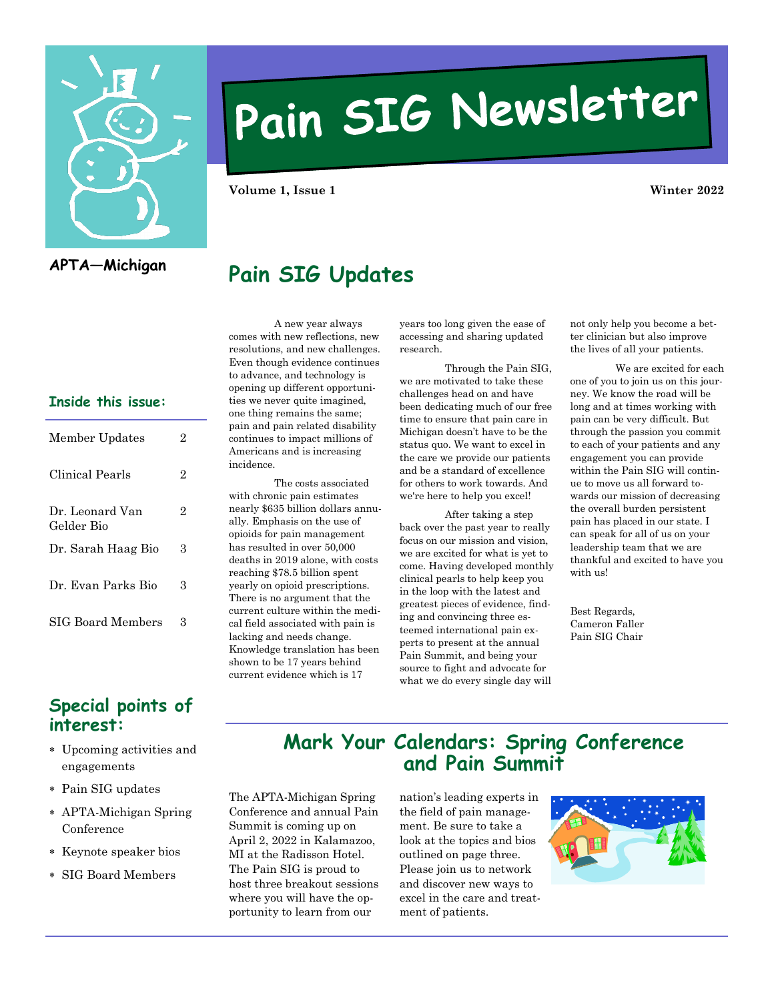

# Pain SIG Newsletter

**Volume 1, Issue 1 Winter 2022**

#### **APTA—Michigan**

# **Pain SIG Updates**

#### **Inside this issue:**

| Member Updates                | 2 |
|-------------------------------|---|
| Clinical Pearls               | 2 |
| Dr. Leonard Van<br>Gelder Bio | 2 |
| Dr. Sarah Haag Bio            | 3 |
| Dr. Evan Parks Bio            | 3 |
| SIG Board Members             | З |

#### **Special points of interest:**

- Upcoming activities and engagements
- Pain SIG updates
- APTA-Michigan Spring Conference
- Keynote speaker bios
- SIG Board Members

A new year always comes with new reflections, new resolutions, and new challenges. Even though evidence continues to advance, and technology is opening up different opportunities we never quite imagined, one thing remains the same; pain and pain related disability continues to impact millions of Americans and is increasing incidence.

The costs associated with chronic pain estimates nearly \$635 billion dollars annually. Emphasis on the use of opioids for pain management has resulted in over 50,000 deaths in 2019 alone, with costs reaching \$78.5 billion spent yearly on opioid prescriptions. There is no argument that the current culture within the medical field associated with pain is lacking and needs change. Knowledge translation has been shown to be 17 years behind current evidence which is 17

years too long given the ease of accessing and sharing updated research.

Through the Pain SIG, we are motivated to take these challenges head on and have been dedicating much of our free time to ensure that pain care in Michigan doesn't have to be the status quo. We want to excel in the care we provide our patients and be a standard of excellence for others to work towards. And we're here to help you excel!

After taking a step back over the past year to really focus on our mission and vision, we are excited for what is yet to come. Having developed monthly clinical pearls to help keep you in the loop with the latest and greatest pieces of evidence, finding and convincing three esteemed international pain experts to present at the annual Pain Summit, and being your source to fight and advocate for what we do every single day will

not only help you become a better clinician but also improve the lives of all your patients.

We are excited for each one of you to join us on this journey. We know the road will be long and at times working with pain can be very difficult. But through the passion you commit to each of your patients and any engagement you can provide within the Pain SIG will continue to move us all forward towards our mission of decreasing the overall burden persistent pain has placed in our state. I can speak for all of us on your leadership team that we are thankful and excited to have you with us!

Best Regards, Cameron Faller Pain SIG Chair

#### **Mark Your Calendars: Spring Conference and Pain Summit**

The APTA-Michigan Spring Conference and annual Pain Summit is coming up on April 2, 2022 in Kalamazoo, MI at the Radisson Hotel. The Pain SIG is proud to host three breakout sessions where you will have the opportunity to learn from our

nation's leading experts in the field of pain management. Be sure to take a look at the topics and bios outlined on page three. Please join us to network and discover new ways to excel in the care and treatment of patients.

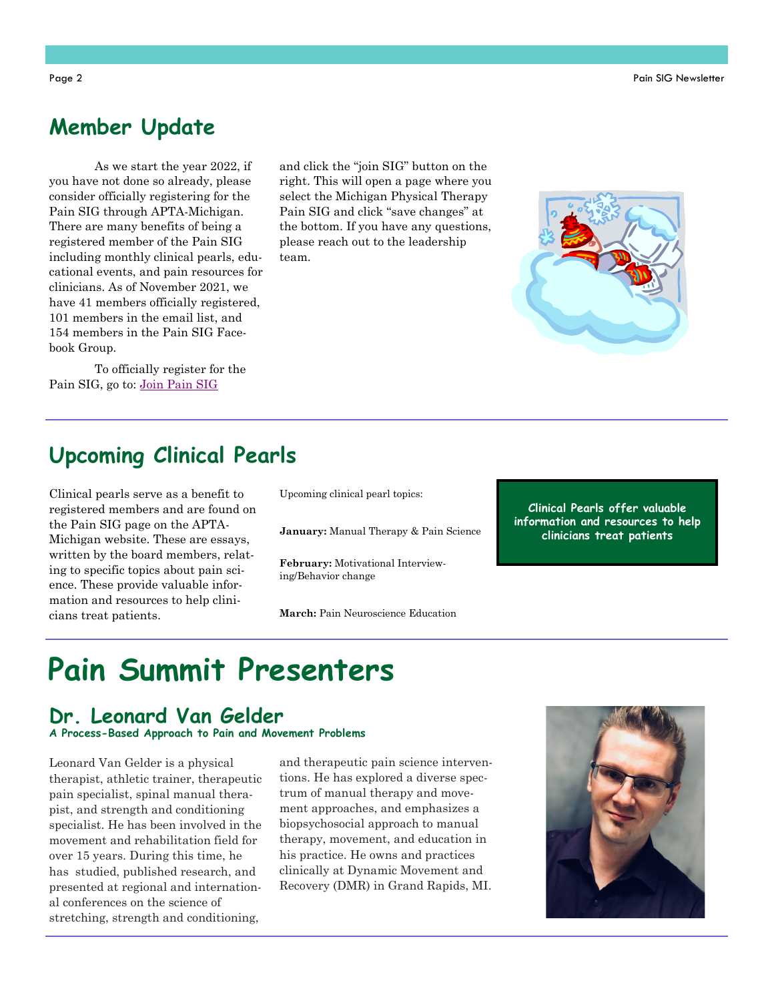### **Member Update**

As we start the year 2022, if you have not done so already, please consider officially registering for the Pain SIG through APTA-Michigan. There are many benefits of being a registered member of the Pain SIG including monthly clinical pearls, educational events, and pain resources for clinicians. As of November 2021, we have 41 members officially registered, 101 members in the email list, and 154 members in the Pain SIG Facebook Group.

To officially register for the Pain SIG, go to: Join Pain SIG

and click the "join SIG" button on the right. This will open a page where you select the Michigan Physical Therapy Pain SIG and click "save changes" at the bottom. If you have any questions, please reach out to the leadership team.

# **Upcoming Clinical Pearls**

Clinical pearls serve as a benefit to registered members and are found on the Pain SIG page on the APTA-Michigan website. These are essays, written by the board members, relating to specific topics about pain science. These provide valuable information and resources to help clinicians treat patients.

Upcoming clinical pearl topics:

**January:** Manual Therapy & Pain Science

**February:** Motivational Interviewing/Behavior change

**March:** Pain Neuroscience Education

**Clinical Pearls offer valuable information and resources to help clinicians treat patients**

# **Pain Summit Presenters**

#### **Dr. Leonard Van Gelder**

**A Process-Based Approach to Pain and Movement Problems**

Leonard Van Gelder is a physical therapist, athletic trainer, therapeutic pain specialist, spinal manual therapist, and strength and conditioning specialist. He has been involved in the movement and rehabilitation field for over 15 years. During this time, he has studied, published research, and presented at regional and international conferences on the science of stretching, strength and conditioning,

and therapeutic pain science interventions. He has explored a diverse spectrum of manual therapy and movement approaches, and emphasizes a biopsychosocial approach to manual therapy, movement, and education in his practice. He owns and practices clinically at Dynamic Movement and Recovery (DMR) in Grand Rapids, MI.